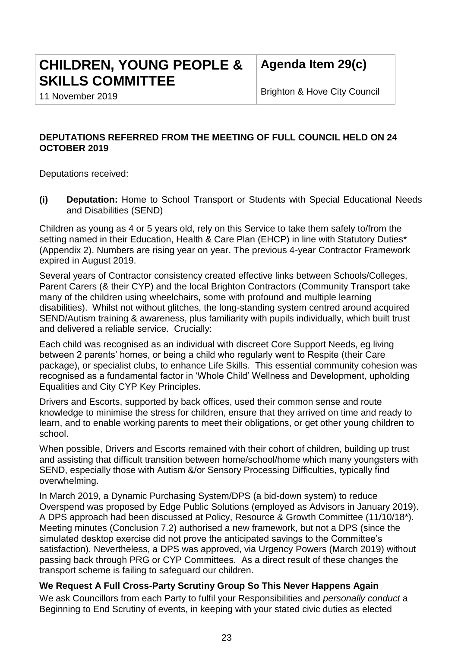# **CHILDREN, YOUNG PEOPLE & SKILLS COMMITTEE**

**Agenda Item 29(c)**

11 November 2019

Brighton & Hove City Council

# **DEPUTATIONS REFERRED FROM THE MEETING OF FULL COUNCIL HELD ON 24 OCTOBER 2019**

Deputations received:

**(i) Deputation:** Home to School Transport or Students with Special Educational Needs and Disabilities (SEND)

Children as young as 4 or 5 years old, rely on this Service to take them safely to/from the setting named in their Education, Health & Care Plan (EHCP) in line with Statutory Duties\* (Appendix 2). Numbers are rising year on year. The previous 4-year Contractor Framework expired in August 2019.

Several years of Contractor consistency created effective links between Schools/Colleges, Parent Carers (& their CYP) and the local Brighton Contractors (Community Transport take many of the children using wheelchairs, some with profound and multiple learning disabilities). Whilst not without glitches, the long-standing system centred around acquired SEND/Autism training & awareness, plus familiarity with pupils individually, which built trust and delivered a reliable service. Crucially:

Each child was recognised as an individual with discreet Core Support Needs, eg living between 2 parents' homes, or being a child who regularly went to Respite (their Care package), or specialist clubs, to enhance Life Skills. This essential community cohesion was recognised as a fundamental factor in 'Whole Child' Wellness and Development, upholding Equalities and City CYP Key Principles.

Drivers and Escorts, supported by back offices, used their common sense and route knowledge to minimise the stress for children, ensure that they arrived on time and ready to learn, and to enable working parents to meet their obligations, or get other young children to school.

When possible, Drivers and Escorts remained with their cohort of children, building up trust and assisting that difficult transition between home/school/home which many youngsters with SEND, especially those with Autism &/or Sensory Processing Difficulties, typically find overwhelming.

In March 2019, a Dynamic Purchasing System/DPS (a bid-down system) to reduce Overspend was proposed by Edge Public Solutions (employed as Advisors in January 2019). A DPS approach had been discussed at Policy, Resource & Growth Committee (11/10/18\*). Meeting minutes (Conclusion 7.2) authorised a new framework, but not a DPS (since the simulated desktop exercise did not prove the anticipated savings to the Committee's satisfaction). Nevertheless, a DPS was approved, via Urgency Powers (March 2019) without passing back through PRG or CYP Committees. As a direct result of these changes the transport scheme is failing to safeguard our children.

# **We Request A Full Cross-Party Scrutiny Group So This Never Happens Again**

We ask Councillors from each Party to fulfil your Responsibilities and *personally conduct* a Beginning to End Scrutiny of events, in keeping with your stated civic duties as elected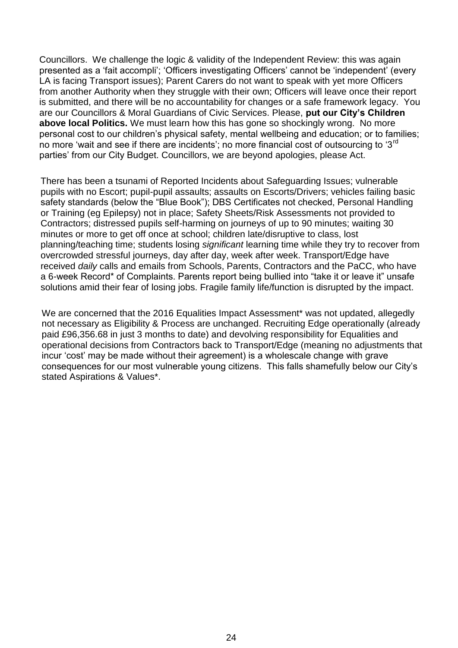Councillors. We challenge the logic & validity of the Independent Review: this was again presented as a 'fait accompli'; 'Officers investigating Officers' cannot be 'independent' (every LA is facing Transport issues); Parent Carers do not want to speak with yet more Officers from another Authority when they struggle with their own; Officers will leave once their report is submitted, and there will be no accountability for changes or a safe framework legacy. You are our Councillors & Moral Guardians of Civic Services. Please, **put our City's Children above local Politics.** We must learn how this has gone so shockingly wrong. No more personal cost to our children's physical safety, mental wellbeing and education; or to families; no more 'wait and see if there are incidents'; no more financial cost of outsourcing to '3<sup>rd</sup> parties' from our City Budget. Councillors, we are beyond apologies, please Act.

There has been a tsunami of Reported Incidents about Safeguarding Issues; vulnerable pupils with no Escort; pupil-pupil assaults; assaults on Escorts/Drivers; vehicles failing basic safety standards (below the "Blue Book"); DBS Certificates not checked, Personal Handling or Training (eg Epilepsy) not in place; Safety Sheets/Risk Assessments not provided to Contractors; distressed pupils self-harming on journeys of up to 90 minutes; waiting 30 minutes or more to get off once at school; children late/disruptive to class, lost planning/teaching time; students losing *significant* learning time while they try to recover from overcrowded stressful journeys, day after day, week after week. Transport/Edge have received *daily* calls and emails from Schools, Parents, Contractors and the PaCC, who have a 6-week Record\* of Complaints. Parents report being bullied into "take it or leave it" unsafe solutions amid their fear of losing jobs. Fragile family life/function is disrupted by the impact.

We are concerned that the 2016 Equalities Impact Assessment\* was not updated, allegedly not necessary as Eligibility & Process are unchanged. Recruiting Edge operationally (already paid £96,356.68 in just 3 months to date) and devolving responsibility for Equalities and operational decisions from Contractors back to Transport/Edge (meaning no adjustments that incur 'cost' may be made without their agreement) is a wholescale change with grave consequences for our most vulnerable young citizens. This falls shamefully below our City's stated Aspirations & Values\*.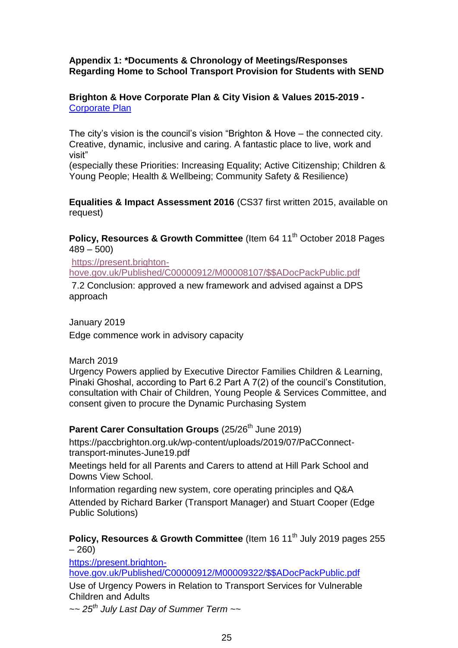#### **Appendix 1: \*Documents & Chronology of Meetings/Responses Regarding Home to School Transport Provision for Students with SEND**

**Brighton & Hove Corporate Plan & City Vision & Values 2015-2019 -** [Corporate Plan](https://www.brighton-hove.gov.uk/sites/brighton-hove.gov.uk/files/Brighton%20%26%20Hove%20City%20Council%20Corporate%20Plan%202015-2019%20The%20way%20ahead.pdf)

The city's vision is the council's vision "Brighton & Hove – the connected city. Creative, dynamic, inclusive and caring. A fantastic place to live, work and visit"

(especially these Priorities: Increasing Equality; Active Citizenship; Children & Young People; Health & Wellbeing; Community Safety & Resilience)

**Equalities & Impact Assessment 2016** (CS37 first written 2015, available on request)

**Policy, Resources & Growth Committee** (Item 64 11<sup>th</sup> October 2018 Pages  $489 - 500$ 

[https://present.brighton-](https://present.brighton-hove.gov.uk/Published/C00000912/M00008107/$$ADocPackPublic.pdf)

[hove.gov.uk/Published/C00000912/M00008107/\\$\\$ADocPackPublic.pdf](https://present.brighton-hove.gov.uk/Published/C00000912/M00008107/$$ADocPackPublic.pdf)

7.2 Conclusion: approved a new framework and advised against a DPS approach

January 2019

Edge commence work in advisory capacity

March 2019

Urgency Powers applied by Executive Director Families Children & Learning, Pinaki Ghoshal, according to Part 6.2 Part A 7(2) of the council's Constitution, consultation with Chair of Children, Young People & Services Committee, and consent given to procure the Dynamic Purchasing System

**Parent Carer Consultation Groups** (25/26<sup>th</sup> June 2019)

https://paccbrighton.org.uk/wp-content/uploads/2019/07/PaCConnecttransport-minutes-June19.pdf

Meetings held for all Parents and Carers to attend at Hill Park School and Downs View School.

Information regarding new system, core operating principles and Q&A Attended by Richard Barker (Transport Manager) and Stuart Cooper (Edge Public Solutions)

**Policy, Resources & Growth Committee** (Item 16 11<sup>th</sup> July 2019 pages 255 – 260)

[https://present.brighton-](https://present.brighton-hove.gov.uk/Published/C00000912/M00009322/$$ADocPackPublic.pdf)

[hove.gov.uk/Published/C00000912/M00009322/\\$\\$ADocPackPublic.pdf](https://present.brighton-hove.gov.uk/Published/C00000912/M00009322/$$ADocPackPublic.pdf)

Use of Urgency Powers in Relation to Transport Services for Vulnerable Children and Adults

*~~ 25th July Last Day of Summer Term ~~*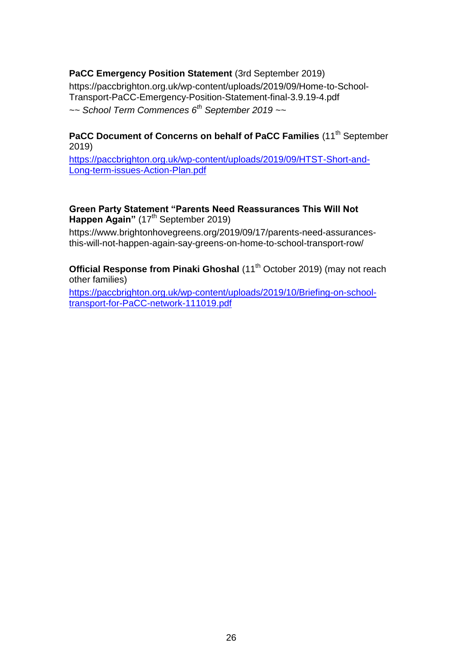#### **PaCC Emergency Position Statement** (3rd September 2019)

https://paccbrighton.org.uk/wp-content/uploads/2019/09/Home-to-School-Transport-PaCC-Emergency-Position-Statement-final-3.9.19-4.pdf *~~ School Term Commences 6th September 2019 ~~*

#### PaCC Document of Concerns on behalf of PaCC Families (11<sup>th</sup> September 2019)

[https://paccbrighton.org.uk/wp-content/uploads/2019/09/HTST-Short-and-](https://paccbrighton.org.uk/wp-content/uploads/2019/09/HTST-Short-and-Long-term-issues-Action-Plan.pdf)[Long-term-issues-Action-Plan.pdf](https://paccbrighton.org.uk/wp-content/uploads/2019/09/HTST-Short-and-Long-term-issues-Action-Plan.pdf)

#### **Green Party Statement "Parents Need Reassurances This Will Not**  Happen Again" (17<sup>th</sup> September 2019)

https://www.brightonhovegreens.org/2019/09/17/parents-need-assurancesthis-will-not-happen-again-say-greens-on-home-to-school-transport-row/

**Official Response from Pinaki Ghoshal** (11<sup>th</sup> October 2019) (may not reach other families)

[https://paccbrighton.org.uk/wp-content/uploads/2019/10/Briefing-on-school](https://paccbrighton.org.uk/wp-content/uploads/2019/10/Briefing-on-school-transport-for-PaCC-network-111019.pdf)[transport-for-PaCC-network-111019.pdf](https://paccbrighton.org.uk/wp-content/uploads/2019/10/Briefing-on-school-transport-for-PaCC-network-111019.pdf)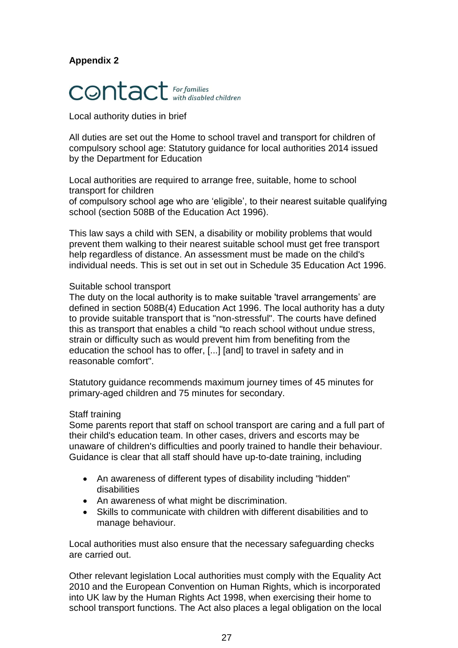# **Appendix 2**

# CONtact For families

Local authority duties in brief

All duties are set out the Home to school travel and transport for children of compulsory school age: Statutory guidance for local authorities 2014 issued by the Department for Education

Local authorities are required to arrange free, suitable, home to school transport for children

of compulsory school age who are 'eligible', to their nearest suitable qualifying school (section 508B of the Education Act 1996).

This law says a child with SEN, a disability or mobility problems that would prevent them walking to their nearest suitable school must get free transport help regardless of distance. An assessment must be made on the child's individual needs. This is set out in set out in Schedule 35 Education Act 1996.

#### Suitable school transport

The duty on the local authority is to make suitable 'travel arrangements' are defined in section 508B(4) Education Act 1996. The local authority has a duty to provide suitable transport that is "non-stressful". The courts have defined this as transport that enables a child "to reach school without undue stress, strain or difficulty such as would prevent him from benefiting from the education the school has to offer, [...] [and] to travel in safety and in reasonable comfort".

Statutory guidance recommends maximum journey times of 45 minutes for primary-aged children and 75 minutes for secondary.

#### Staff training

Some parents report that staff on school transport are caring and a full part of their child's education team. In other cases, drivers and escorts may be unaware of children's difficulties and poorly trained to handle their behaviour. Guidance is clear that all staff should have up-to-date training, including

- An awareness of different types of disability including "hidden" disabilities
- An awareness of what might be discrimination.
- Skills to communicate with children with different disabilities and to manage behaviour.

Local authorities must also ensure that the necessary safeguarding checks are carried out.

Other relevant legislation Local authorities must comply with the Equality Act 2010 and the European Convention on Human Rights, which is incorporated into UK law by the Human Rights Act 1998, when exercising their home to school transport functions. The Act also places a legal obligation on the local